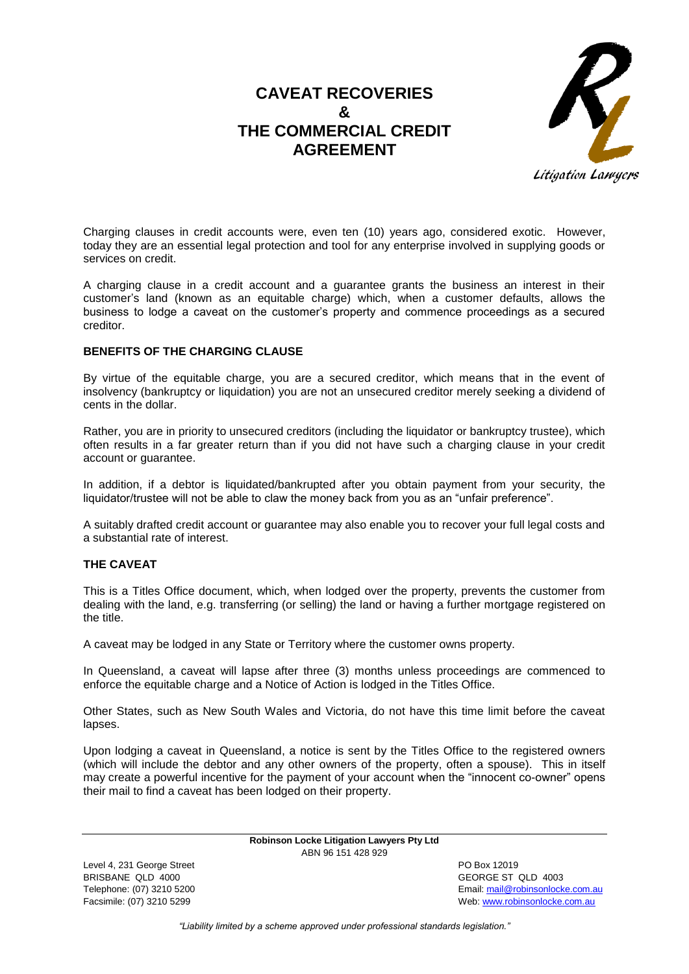## **CAVEAT RECOVERIES & THE COMMERCIAL CREDIT AGREEMENT**



Charging clauses in credit accounts were, even ten (10) years ago, considered exotic. However, today they are an essential legal protection and tool for any enterprise involved in supplying goods or services on credit.

A charging clause in a credit account and a guarantee grants the business an interest in their customer's land (known as an equitable charge) which, when a customer defaults, allows the business to lodge a caveat on the customer's property and commence proceedings as a secured creditor.

## **BENEFITS OF THE CHARGING CLAUSE**

By virtue of the equitable charge, you are a secured creditor, which means that in the event of insolvency (bankruptcy or liquidation) you are not an unsecured creditor merely seeking a dividend of cents in the dollar.

Rather, you are in priority to unsecured creditors (including the liquidator or bankruptcy trustee), which often results in a far greater return than if you did not have such a charging clause in your credit account or guarantee.

In addition, if a debtor is liquidated/bankrupted after you obtain payment from your security, the liquidator/trustee will not be able to claw the money back from you as an "unfair preference".

A suitably drafted credit account or guarantee may also enable you to recover your full legal costs and a substantial rate of interest.

## **THE CAVEAT**

This is a Titles Office document, which, when lodged over the property, prevents the customer from dealing with the land, e.g. transferring (or selling) the land or having a further mortgage registered on the title.

A caveat may be lodged in any State or Territory where the customer owns property.

In Queensland, a caveat will lapse after three (3) months unless proceedings are commenced to enforce the equitable charge and a Notice of Action is lodged in the Titles Office.

Other States, such as New South Wales and Victoria, do not have this time limit before the caveat lapses.

Upon lodging a caveat in Queensland, a notice is sent by the Titles Office to the registered owners (which will include the debtor and any other owners of the property, often a spouse). This in itself may create a powerful incentive for the payment of your account when the "innocent co-owner" opens their mail to find a caveat has been lodged on their property.

> **Robinson Locke Litigation Lawyers Pty Ltd** ABN 96 151 428 929

Level 4, 231 George Street **PO Box 12019** BRISBANE QLD 4000 GEORGE ST QLD 4003

Telephone: (07) 3210 5200 Email[: mail@robinsonlocke.com.au](mailto:mail@robinsonlocke.com.au) Facsimile: (07) 3210 5299 Web: [www.robinsonlocke.com.au](http://www.robinsonlocke.com.au/)

*"Liability limited by a scheme approved under professional standards legislation."*